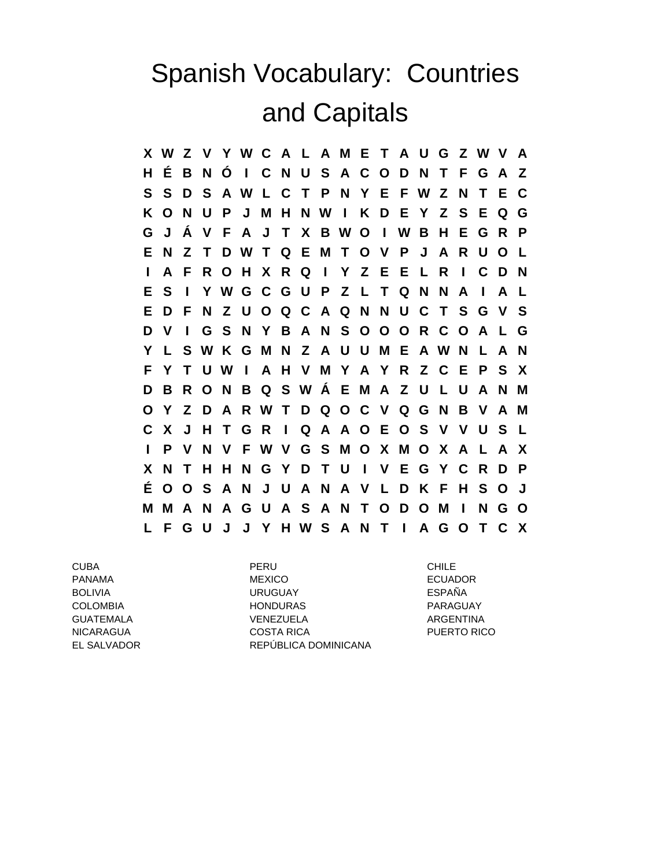## Spanish Vocabulary: Countries and Capitals

**X W Z V Y W C A L A M E T A U G Z W V A H É B N Ó I C N U S A C O D N T F G A Z S S D S A W L C T P N Y E F W Z N T E C K O N U P J M H N W I K D E Y Z S E Q G G J Á V F A J T X B W O I W B H E G R P E N Z T D W T Q E M T O V P J A R U O L I A F R O H X R Q I Y Z E E L R I C D N E S I Y W G C G U P Z L T Q N N A I A L E D F N Z U O Q C A Q N N U C T S G V S D V I G S N Y B A N S O O O R C O A L G Y L S W K G M N Z A U U M E A W N L A N F Y T U W I A H V M Y A Y R Z C E P S X D B R O N B Q S W Á E M A Z U L U A N M O Y Z D A R W T D Q O C V Q G N B V A M C X J H T G R I Q A A O E O S V V U S L I P V N V F W V G S M O X M O X A L A X X N T H H N G Y D T U I V E G Y C R D P É O O S A N J U A N A V L D K F H S O J M M A N A G U A S A N T O D O M I N G O L F G U J J Y H W S A N T I A G O T C X**

CUBA PERU CHILE PANAMA MEXICO ECUADOR BOLIVIA URUGUAY ESPAÑA COLOMBIA HONDURAS PARAGUAY GUATEMALA VENEZUELA ARGENTINA NICARAGUA COSTA RICA PUERTO RICO EL SALVADOR REPÚBLICA DOMINICANA